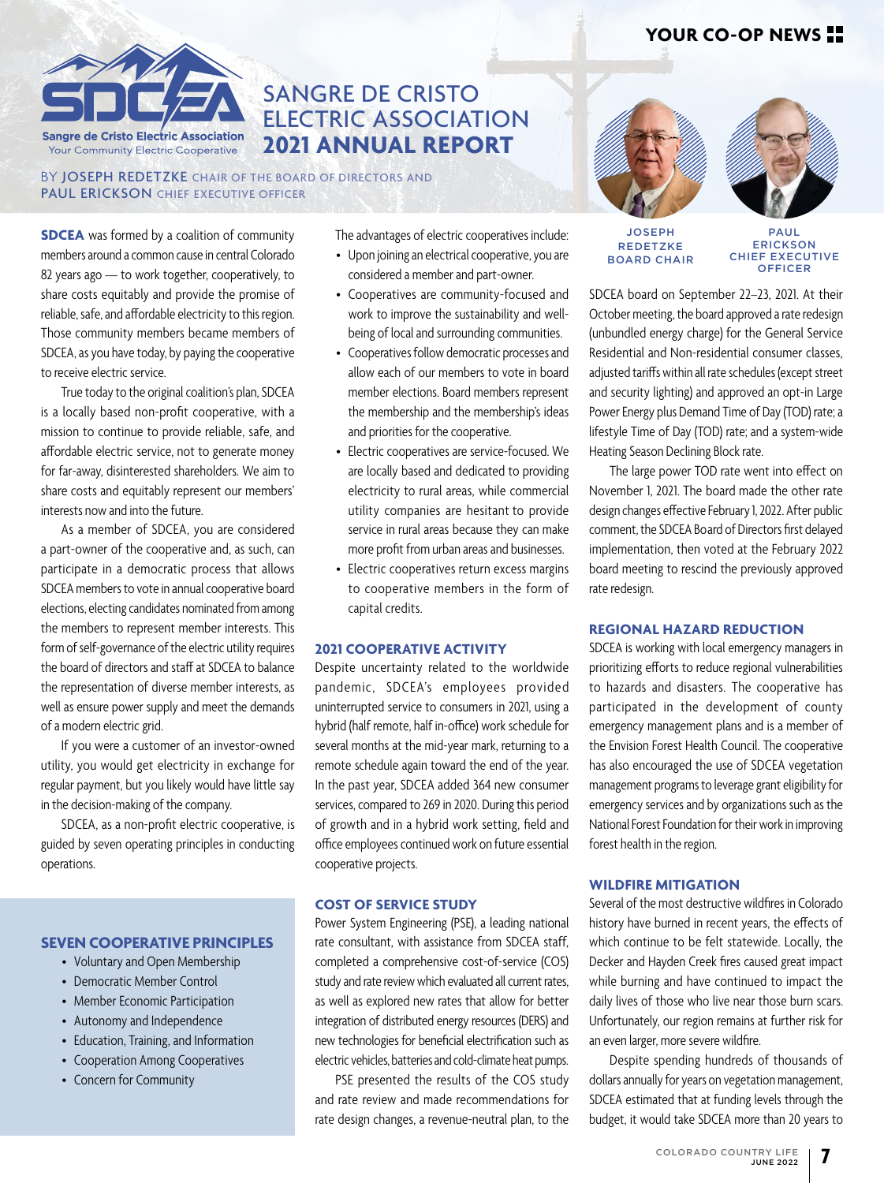

# SANGRE DE CRISTO ELECTRIC ASSOCIATION **2021 ANNUAL REPORT**

BY **JOSEPH REDETZKE** CHAIR OF THE BOARD OF DIRECTORS AND PAUL ERICKSON CHIEF EXECUTIVE OFFICER

**SDCEA** was formed by a coalition of community members around a common cause in central Colorado 82 years ago — to work together, cooperatively, to share costs equitably and provide the promise of reliable, safe, and affordable electricity to this region. Those community members became members of SDCEA, as you have today, by paying the cooperative to receive electric service.

True today to the original coalition's plan, SDCEA is a locally based non-profit cooperative, with a mission to continue to provide reliable, safe, and affordable electric service, not to generate money for far-away, disinterested shareholders. We aim to share costs and equitably represent our members' interests now and into the future.

As a member of SDCEA, you are considered a part-owner of the cooperative and, as such, can participate in a democratic process that allows SDCEA members to vote in annual cooperative board elections, electing candidates nominated from among the members to represent member interests. This form of self-governance of the electric utility requires the board of directors and staff at SDCEA to balance the representation of diverse member interests, as well as ensure power supply and meet the demands of a modern electric grid.

If you were a customer of an investor-owned utility, you would get electricity in exchange for regular payment, but you likely would have little say in the decision-making of the company.

SDCEA, as a non-profit electric cooperative, is guided by seven operating principles in conducting operations.

#### **SEVEN COOPERATIVE PRINCIPLES**

- Voluntary and Open Membership
- Democratic Member Control
- Member Economic Participation
- Autonomy and Independence
- Education, Training, and Information
- Cooperation Among Cooperatives
- Concern for Community

The advantages of electric cooperatives include:

- Upon joining an electrical cooperative, you are considered a member and part-owner.
- Cooperatives are community-focused and work to improve the sustainability and wellbeing of local and surrounding communities.
- Cooperatives follow democratic processes and allow each of our members to vote in board member elections. Board members represent the membership and the membership's ideas and priorities for the cooperative.
- Electric cooperatives are service-focused. We are locally based and dedicated to providing electricity to rural areas, while commercial utility companies are hesitant to provide service in rural areas because they can make more profit from urban areas and businesses.
- Electric cooperatives return excess margins to cooperative members in the form of capital credits.

#### **2021 COOPERATIVE ACTIVITY**

Despite uncertainty related to the worldwide pandemic, SDCEA's employees provided uninterrupted service to consumers in 2021, using a hybrid (half remote, half in-office) work schedule for several months at the mid-year mark, returning to a remote schedule again toward the end of the year. In the past year, SDCEA added 364 new consumer services, compared to 269 in 2020. During this period of growth and in a hybrid work setting, field and office employees continued work on future essential cooperative projects.

#### **COST OF SERVICE STUDY**

Power System Engineering (PSE), a leading national rate consultant, with assistance from SDCEA staff, completed a comprehensive cost-of-service (COS) study and rate review which evaluated all current rates, as well as explored new rates that allow for better integration of distributed energy resources (DERS) and new technologies for beneficial electrification such as electric vehicles, batteries and cold-climate heat pumps.

PSE presented the results of the COS study and rate review and made recommendations for rate design changes, a revenue-neutral plan, to the



#### **JOSEPH REDETZKE** BOARD CHAIR

PAUL ERICKSON CHIEF EXECUTIVE **OFFICER** 

SDCEA board on September 22–23, 2021. At their October meeting, the board approved a rate redesign (unbundled energy charge) for the General Service Residential and Non-residential consumer classes, adjusted tariffs within all rate schedules (except street and security lighting) and approved an opt-in Large Power Energy plus Demand Time of Day (TOD) rate; a lifestyle Time of Day (TOD) rate; and a system-wide Heating Season Declining Block rate.

The large power TOD rate went into effect on November 1, 2021. The board made the other rate design changes effective February 1, 2022. After public comment, the SDCEA Board of Directors first delayed implementation, then voted at the February 2022 board meeting to rescind the previously approved rate redesign.

#### **REGIONAL HAZARD REDUCTION**

SDCEA is working with local emergency managers in prioritizing efforts to reduce regional vulnerabilities to hazards and disasters. The cooperative has participated in the development of county emergency management plans and is a member of the Envision Forest Health Council. The cooperative has also encouraged the use of SDCEA vegetation management programs to leverage grant eligibility for emergency services and by organizations such as the National Forest Foundation for their work in improving forest health in the region.

#### **WILDFIRE MITIGATION**

Several of the most destructive wildfires in Colorado history have burned in recent years, the effects of which continue to be felt statewide. Locally, the Decker and Hayden Creek fires caused great impact while burning and have continued to impact the daily lives of those who live near those burn scars. Unfortunately, our region remains at further risk for an even larger, more severe wildfire.

Despite spending hundreds of thousands of dollars annually for years on vegetation management, SDCEA estimated that at funding levels through the budget, it would take SDCEA more than 20 years to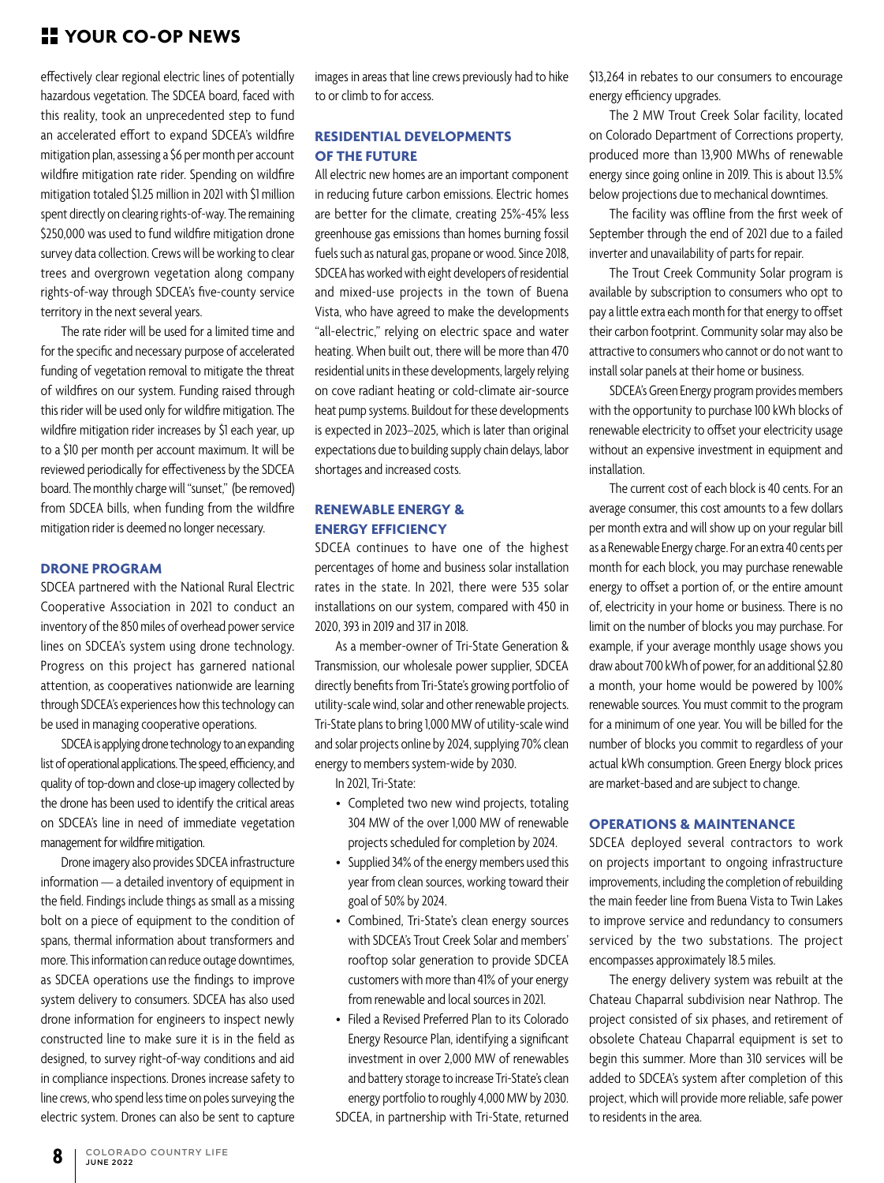## **YOUR CO-OP NEWS**

effectively clear regional electric lines of potentially hazardous vegetation. The SDCEA board, faced with this reality, took an unprecedented step to fund an accelerated effort to expand SDCEA's wildfire mitigation plan, assessing a \$6 per month per account wildfire mitigation rate rider. Spending on wildfire mitigation totaled \$1.25 million in 2021 with \$1 million spent directly on clearing rights-of-way. The remaining \$250,000 was used to fund wildfire mitigation drone survey data collection. Crews will be working to clear trees and overgrown vegetation along company rights-of-way through SDCEA's five-county service territory in the next several years.

The rate rider will be used for a limited time and for the specific and necessary purpose of accelerated funding of vegetation removal to mitigate the threat of wildfires on our system. Funding raised through this rider will be used only for wildfire mitigation. The wildfire mitigation rider increases by \$1 each year, up to a \$10 per month per account maximum. It will be reviewed periodically for effectiveness by the SDCEA board. The monthly charge will "sunset," (be removed) from SDCEA bills, when funding from the wildfire mitigation rider is deemed no longer necessary.

#### **DRONE PROGRAM**

SDCEA partnered with the National Rural Electric Cooperative Association in 2021 to conduct an inventory of the 850 miles of overhead power service lines on SDCEA's system using drone technology. Progress on this project has garnered national attention, as cooperatives nationwide are learning through SDCEA's experiences how this technology can be used in managing cooperative operations.

SDCEA is applying drone technology to an expanding list of operational applications. The speed, efficiency, and quality of top-down and close-up imagery collected by the drone has been used to identify the critical areas on SDCEA's line in need of immediate vegetation management for wildfire mitigation.

Drone imagery also provides SDCEA infrastructure information — a detailed inventory of equipment in the field. Findings include things as small as a missing bolt on a piece of equipment to the condition of spans, thermal information about transformers and more. This information can reduce outage downtimes, as SDCEA operations use the findings to improve system delivery to consumers. SDCEA has also used drone information for engineers to inspect newly constructed line to make sure it is in the field as designed, to survey right-of-way conditions and aid in compliance inspections. Drones increase safety to line crews, who spend less time on poles surveying the electric system. Drones can also be sent to capture

images in areas that line crews previously had to hike to or climb to for access.

### **RESIDENTIAL DEVELOPMENTS OF THE FUTURE**

All electric new homes are an important component in reducing future carbon emissions. Electric homes are better for the climate, creating 25%-45% less greenhouse gas emissions than homes burning fossil fuels such as natural gas, propane or wood. Since 2018, SDCEA has worked with eight developers of residential and mixed-use projects in the town of Buena Vista, who have agreed to make the developments "all-electric," relying on electric space and water heating. When built out, there will be more than 470 residential units in these developments, largely relying on cove radiant heating or cold-climate air-source heat pump systems. Buildout for these developments is expected in 2023–2025, which is later than original expectations due to building supply chain delays, labor shortages and increased costs.

#### **RENEWABLE ENERGY & ENERGY EFFICIENCY**

SDCEA continues to have one of the highest percentages of home and business solar installation rates in the state. In 2021, there were 535 solar installations on our system, compared with 450 in 2020, 393 in 2019 and 317 in 2018.

As a member-owner of Tri-State Generation & Transmission, our wholesale power supplier, SDCEA directly benefits from Tri-State's growing portfolio of utility-scale wind, solar and other renewable projects. Tri-State plans to bring 1,000 MW of utility-scale wind and solar projects online by 2024, supplying 70% clean energy to members system-wide by 2030.

In 2021, Tri-State:

- Completed two new wind projects, totaling 304 MW of the over 1,000 MW of renewable projects scheduled for completion by 2024.
- Supplied 34% of the energy members used this year from clean sources, working toward their goal of 50% by 2024.
- Combined, Tri-State's clean energy sources with SDCEA's Trout Creek Solar and members' rooftop solar generation to provide SDCEA customers with more than 41% of your energy from renewable and local sources in 2021.
- Filed a Revised Preferred Plan to its Colorado Energy Resource Plan, identifying a significant investment in over 2,000 MW of renewables and battery storage to increase Tri-State's clean energy portfolio to roughly 4,000 MW by 2030. SDCEA, in partnership with Tri-State, returned

\$13,264 in rebates to our consumers to encourage energy efficiency upgrades.

The 2 MW Trout Creek Solar facility, located on Colorado Department of Corrections property, produced more than 13,900 MWhs of renewable energy since going online in 2019. This is about 13.5% below projections due to mechanical downtimes.

The facility was offline from the first week of September through the end of 2021 due to a failed inverter and unavailability of parts for repair.

The Trout Creek Community Solar program is available by subscription to consumers who opt to pay a little extra each month for that energy to offset their carbon footprint. Community solar may also be attractive to consumers who cannot or do not want to install solar panels at their home or business.

SDCEA's Green Energy program provides members with the opportunity to purchase 100 kWh blocks of renewable electricity to offset your electricity usage without an expensive investment in equipment and installation.

The current cost of each block is 40 cents. For an average consumer, this cost amounts to a few dollars per month extra and will show up on your regular bill as a Renewable Energy charge. For an extra 40 cents per month for each block, you may purchase renewable energy to offset a portion of, or the entire amount of, electricity in your home or business. There is no limit on the number of blocks you may purchase. For example, if your average monthly usage shows you draw about 700 kWh of power, for an additional \$2.80 a month, your home would be powered by 100% renewable sources. You must commit to the program for a minimum of one year. You will be billed for the number of blocks you commit to regardless of your actual kWh consumption. Green Energy block prices are market-based and are subject to change.

#### **OPERATIONS & MAINTENANCE**

SDCEA deployed several contractors to work on projects important to ongoing infrastructure improvements, including the completion of rebuilding the main feeder line from Buena Vista to Twin Lakes to improve service and redundancy to consumers serviced by the two substations. The project encompasses approximately 18.5 miles.

The energy delivery system was rebuilt at the Chateau Chaparral subdivision near Nathrop. The project consisted of six phases, and retirement of obsolete Chateau Chaparral equipment is set to begin this summer. More than 310 services will be added to SDCEA's system after completion of this project, which will provide more reliable, safe power to residents in the area.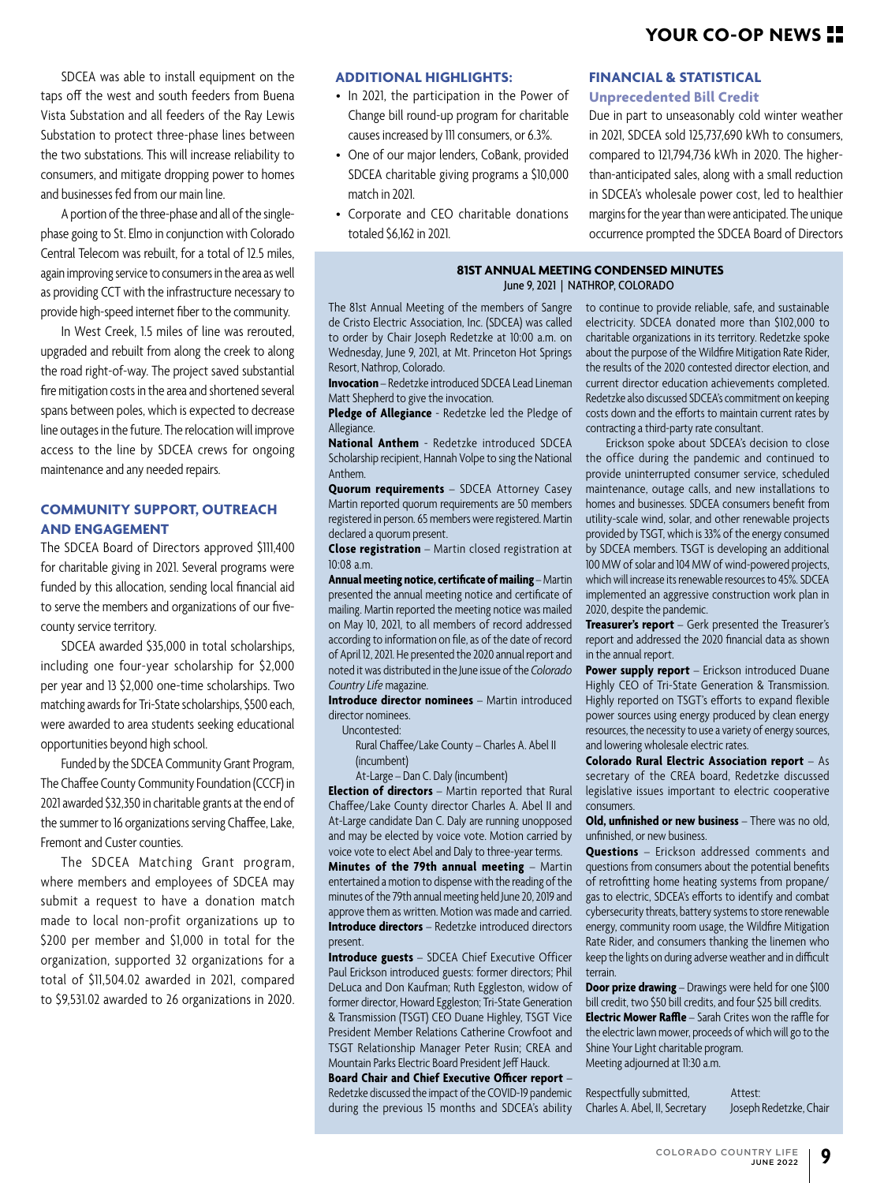SDCEA was able to install equipment on the taps off the west and south feeders from Buena Vista Substation and all feeders of the Ray Lewis Substation to protect three-phase lines between the two substations. This will increase reliability to consumers, and mitigate dropping power to homes and businesses fed from our main line.

A portion of the three-phase and all of the singlephase going to St. Elmo in conjunction with Colorado Central Telecom was rebuilt, for a total of 12.5 miles, again improving service to consumers in the area as well as providing CCT with the infrastructure necessary to provide high-speed internet fiber to the community.

In West Creek, 1.5 miles of line was rerouted, upgraded and rebuilt from along the creek to along the road right-of-way. The project saved substantial fire mitigation costs in the area and shortened several spans between poles, which is expected to decrease line outages in the future. The relocation will improve access to the line by SDCEA crews for ongoing maintenance and any needed repairs.

#### **COMMUNITY SUPPORT, OUTREACH AND ENGAGEMENT**

The SDCEA Board of Directors approved \$111,400 for charitable giving in 2021. Several programs were funded by this allocation, sending local financial aid to serve the members and organizations of our fivecounty service territory.

SDCEA awarded \$35,000 in total scholarships, including one four-year scholarship for \$2,000 per year and 13 \$2,000 one-time scholarships. Two matching awards for Tri-State scholarships, \$500 each, were awarded to area students seeking educational opportunities beyond high school.

Funded by the SDCEA Community Grant Program, The Chaffee County Community Foundation (CCCF) in 2021 awarded \$32,350 in charitable grants at the end of the summer to 16 organizations serving Chaffee, Lake, Fremont and Custer counties.

The SDCEA Matching Grant program, where members and employees of SDCEA may submit a request to have a donation match made to local non-profit organizations up to \$200 per member and \$1,000 in total for the organization, supported 32 organizations for a total of \$11,504.02 awarded in 2021, compared to \$9,531.02 awarded to 26 organizations in 2020.

#### **ADDITIONAL HIGHLIGHTS:**

- In 2021, the participation in the Power of Change bill round-up program for charitable causes increased by 111 consumers, or 6.3%.
- One of our major lenders, CoBank, provided SDCEA charitable giving programs a \$10,000 match in 2021.
- Corporate and CEO charitable donations totaled \$6,162 in 2021.

#### **FINANCIAL & STATISTICAL**

#### **Unprecedented Bill Credit**

Due in part to unseasonably cold winter weather in 2021, SDCEA sold 125,737,690 kWh to consumers, compared to 121,794,736 kWh in 2020. The higherthan-anticipated sales, along with a small reduction in SDCEA's wholesale power cost, led to healthier margins for the year than were anticipated. The unique occurrence prompted the SDCEA Board of Directors

#### **81ST ANNUAL MEETING CONDENSED MINUTES** June 9, 2021 | NATHROP, COLORADO

The 81st Annual Meeting of the members of Sangre de Cristo Electric Association, Inc. (SDCEA) was called to order by Chair Joseph Redetzke at 10:00 a.m. on Wednesday, June 9, 2021, at Mt. Princeton Hot Springs Resort, Nathrop, Colorado.

**Invocation** – Redetzke introduced SDCEA Lead Lineman Matt Shepherd to give the invocation.

**Pledge of Allegiance** - Redetzke led the Pledge of Allegiance.

**National Anthem** - Redetzke introduced SDCEA Scholarship recipient, Hannah Volpe to sing the National Anthem.

**Quorum requirements** – SDCEA Attorney Casey Martin reported quorum requirements are 50 members registered in person. 65 members were registered. Martin declared a quorum present.

**Close registration** – Martin closed registration at 10:08 a.m.

**Annual meeting notice, certificate of mailing** – Martin presented the annual meeting notice and certificate of mailing. Martin reported the meeting notice was mailed on May 10, 2021, to all members of record addressed according to information on file, as of the date of record of April 12, 2021. He presented the 2020 annual report and noted it was distributed in the June issue of the *Colorado Country Life* magazine.

**Introduce director nominees** – Martin introduced director nominees.

Uncontested:

Rural Chaffee/Lake County – Charles A. Abel II (incumbent)

At-Large – Dan C. Daly (incumbent)

**Election of directors** – Martin reported that Rural Chaffee/Lake County director Charles A. Abel II and At-Large candidate Dan C. Daly are running unopposed and may be elected by voice vote. Motion carried by voice vote to elect Abel and Daly to three-year terms.

**Minutes of the 79th annual meeting** – Martin entertained a motion to dispense with the reading of the minutes of the 79th annual meeting held June 20, 2019 and approve them as written. Motion was made and carried. **Introduce directors** – Redetzke introduced directors present.

**Introduce guests** – SDCEA Chief Executive Officer Paul Erickson introduced guests: former directors; Phil DeLuca and Don Kaufman; Ruth Eggleston, widow of former director, Howard Eggleston; Tri-State Generation & Transmission (TSGT) CEO Duane Highley, TSGT Vice President Member Relations Catherine Crowfoot and TSGT Relationship Manager Peter Rusin; CREA and Mountain Parks Electric Board President Jeff Hauck.

#### **Board Chair and Chief Executive Officer report** –

Redetzke discussed the impact of the COVID-19 pandemic during the previous 15 months and SDCEA's ability

to continue to provide reliable, safe, and sustainable electricity. SDCEA donated more than \$102,000 to charitable organizations in its territory. Redetzke spoke about the purpose of the Wildfire Mitigation Rate Rider, the results of the 2020 contested director election, and current director education achievements completed. Redetzke also discussed SDCEA's commitment on keeping costs down and the efforts to maintain current rates by contracting a third-party rate consultant.

Erickson spoke about SDCEA's decision to close the office during the pandemic and continued to provide uninterrupted consumer service, scheduled maintenance, outage calls, and new installations to homes and businesses. SDCEA consumers benefit from utility-scale wind, solar, and other renewable projects provided by TSGT, which is 33% of the energy consumed by SDCEA members. TSGT is developing an additional 100 MW of solar and 104 MW of wind-powered projects, which will increase its renewable resources to 45%. SDCEA implemented an aggressive construction work plan in 2020, despite the pandemic.

**Treasurer's report** – Gerk presented the Treasurer's report and addressed the 2020 financial data as shown in the annual report.

**Power supply report** – Erickson introduced Duane Highly CEO of Tri-State Generation & Transmission. Highly reported on TSGT's efforts to expand flexible power sources using energy produced by clean energy resources, the necessity to use a variety of energy sources, and lowering wholesale electric rates.

**Colorado Rural Electric Association report** – As secretary of the CREA board, Redetzke discussed legislative issues important to electric cooperative consumers.

**Old, unfinished or new business** – There was no old, unfinished, or new business.

**Questions** – Erickson addressed comments and questions from consumers about the potential benefits of retrofitting home heating systems from propane/ gas to electric, SDCEA's efforts to identify and combat cybersecurity threats, battery systems to store renewable energy, community room usage, the Wildfire Mitigation Rate Rider, and consumers thanking the linemen who keep the lights on during adverse weather and in difficult terrain.

**Door prize drawing** – Drawings were held for one \$100 bill credit, two \$50 bill credits, and four \$25 bill credits.

**Electric Mower Raffle** – Sarah Crites won the raffle for the electric lawn mower, proceeds of which will go to the Shine Your Light charitable program. Meeting adjourned at 11:30 a.m.

Respectfully submitted, Attest: Charles A. Abel, II, Secretary Joseph Redetzke, Chair